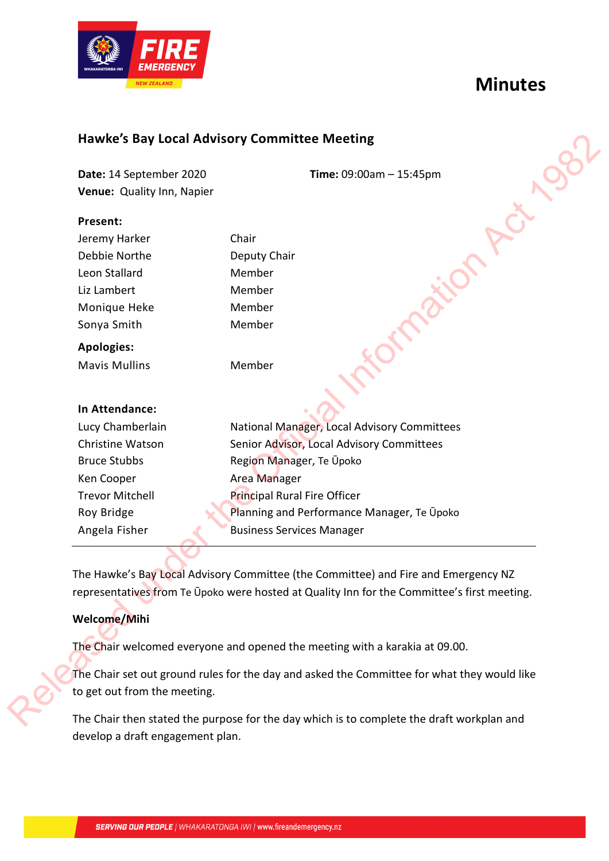# **Minutes**



# **Hawke's Bay Local Advisory Committee Meeting**

#### **Present:**

| Jeremy Harker     | Chair        |
|-------------------|--------------|
| Debbie Northe     | Deputy Chair |
| Leon Stallard     | Member       |
| Liz Lambert       | Member       |
| Monique Heke      | Member       |
| Sonya Smith       | Member       |
| <b>Apologies:</b> |              |

### **In Attendance:**

|                              | <b>Hawke's Bay Local Advisory Committee Meeting</b>                                                                                                                               |
|------------------------------|-----------------------------------------------------------------------------------------------------------------------------------------------------------------------------------|
| Date: 14 September 2020      | Time: $09:00am - 15:45pm$                                                                                                                                                         |
| Venue: Quality Inn, Napier   |                                                                                                                                                                                   |
| Present:                     |                                                                                                                                                                                   |
| Jeremy Harker                | Chair                                                                                                                                                                             |
| Debbie Northe                | Deputy Chair                                                                                                                                                                      |
| Leon Stallard                | Member                                                                                                                                                                            |
| Liz Lambert                  | Member                                                                                                                                                                            |
| Monique Heke                 | Member                                                                                                                                                                            |
| Sonya Smith                  | Member                                                                                                                                                                            |
| <b>Apologies:</b>            |                                                                                                                                                                                   |
| <b>Mavis Mullins</b>         | Member                                                                                                                                                                            |
| In Attendance:               |                                                                                                                                                                                   |
| Lucy Chamberlain             | National Manager, Local Advisory Committees                                                                                                                                       |
| Christine Watson             | Senior Advisor, Local Advisory Committees                                                                                                                                         |
| <b>Bruce Stubbs</b>          | Region Manager, Te Upoko                                                                                                                                                          |
| Ken Cooper                   | Area Manager                                                                                                                                                                      |
| <b>Trevor Mitchell</b>       | Principal Rural Fire Officer                                                                                                                                                      |
| Roy Bridge                   | Planning and Performance Manager, Te Upoko                                                                                                                                        |
| Angela Fisher                | <b>Business Services Manager</b>                                                                                                                                                  |
|                              | The Hawke's Bay Local Advisory Committee (the Committee) and Fire and Emergency NZ<br>representatives from Te Upoko were hosted at Quality Inn for the Committee's first meeting. |
| Welcome/Mihi                 |                                                                                                                                                                                   |
|                              | The Chair welcomed everyone and opened the meeting with a karakia at 09.00.                                                                                                       |
|                              | The Chair set out ground rules for the day and asked the Committee for what they would like                                                                                       |
| to get out from the meeting. |                                                                                                                                                                                   |
|                              | The Chair then stated the purpose for the day which is to complete the draft workplan and                                                                                         |

# **Welcome/Mihi**

The Chair then stated the purpose for the day which is to complete the draft workplan and develop a draft engagement plan.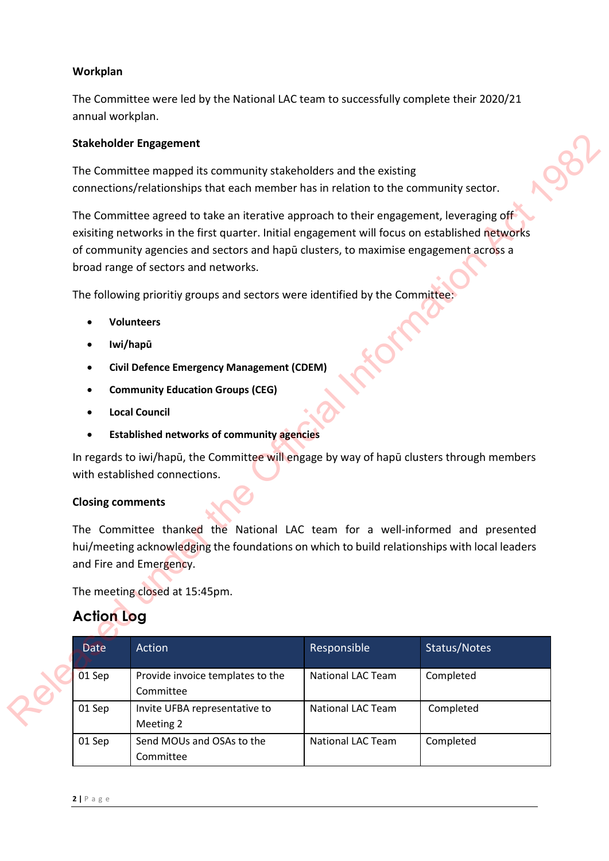### **Workplan**

The Committee were led by the National LAC team to successfully complete their 2020/21 annual workplan.

#### **Stakeholder Engagement**

- **Volunteers**
- **Iwi/hapū**
- **Civil Defence Emergency Management (CDEM)**
- **Community Education Groups (CEG)**
- **Local Council**
- **Established networks of community agencies**

#### **Closing comments**

# **Action Log**

|                   | <b>Stakeholder Engagement</b>                                                                                                                                                                                                                                                                                                                                                                                                                                                                                                                                    |                          |              |  |
|-------------------|------------------------------------------------------------------------------------------------------------------------------------------------------------------------------------------------------------------------------------------------------------------------------------------------------------------------------------------------------------------------------------------------------------------------------------------------------------------------------------------------------------------------------------------------------------------|--------------------------|--------------|--|
|                   | The Committee mapped its community stakeholders and the existing<br>connections/relationships that each member has in relation to the community sector.                                                                                                                                                                                                                                                                                                                                                                                                          |                          |              |  |
| ٠                 | The Committee agreed to take an iterative approach to their engagement, leveraging off<br>exisiting networks in the first quarter. Initial engagement will focus on established networks<br>of community agencies and sectors and hapu clusters, to maximise engagement across a<br>broad range of sectors and networks.<br>The following prioritiy groups and sectors were identified by the Committee:<br><b>Volunteers</b><br>Iwi/hapū<br><b>Civil Defence Emergency Management (CDEM)</b><br><b>Community Education Groups (CEG)</b><br><b>Local Council</b> |                          |              |  |
|                   | <b>Established networks of community agencies</b><br>In regards to iwi/hapū, the Committee will engage by way of hapū clusters through members<br>with established connections.<br><b>Closing comments</b>                                                                                                                                                                                                                                                                                                                                                       |                          |              |  |
|                   | The Committee thanked the National LAC team for a well-informed and presented<br>hui/meeting acknowledging the foundations on which to build relationships with local leaders<br>and Fire and Emergency.                                                                                                                                                                                                                                                                                                                                                         |                          |              |  |
|                   | The meeting closed at 15:45pm.                                                                                                                                                                                                                                                                                                                                                                                                                                                                                                                                   |                          |              |  |
| <b>Action Log</b> |                                                                                                                                                                                                                                                                                                                                                                                                                                                                                                                                                                  |                          |              |  |
| Date              | Action                                                                                                                                                                                                                                                                                                                                                                                                                                                                                                                                                           | Responsible              | Status/Notes |  |
| 01 Sep            | Provide invoice templates to the<br>Committee                                                                                                                                                                                                                                                                                                                                                                                                                                                                                                                    | National LAC Team        | Completed    |  |
| 01 Sep            | Invite UFBA representative to<br>Meeting 2                                                                                                                                                                                                                                                                                                                                                                                                                                                                                                                       | <b>National LAC Team</b> | Completed    |  |
| 01 Sep            | Send MOUs and OSAs to the<br>Committee                                                                                                                                                                                                                                                                                                                                                                                                                                                                                                                           | <b>National LAC Team</b> | Completed    |  |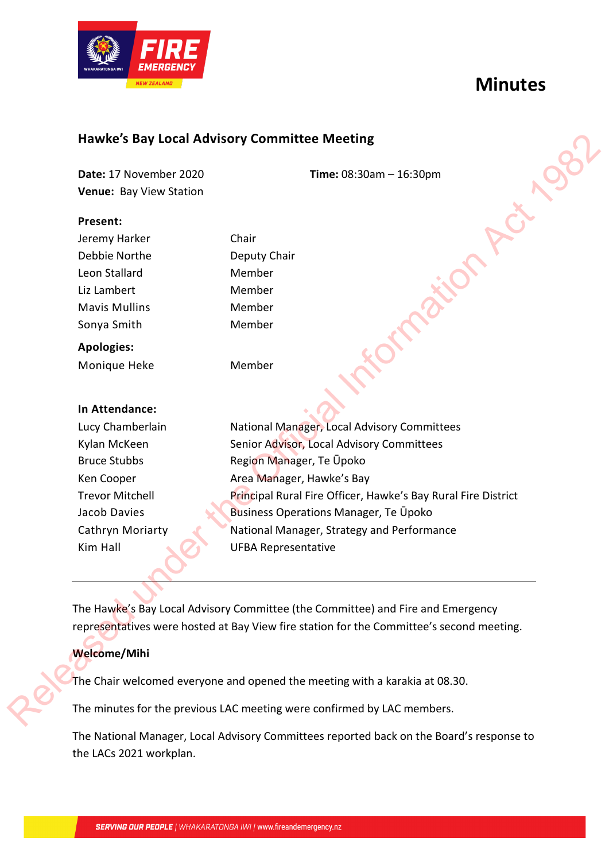



# **Hawke's Bay Local Advisory Committee Meeting**

#### **Present:**

|                         | <b>Hawke's Bay Local Advisory Committee Meeting</b>                                      |
|-------------------------|------------------------------------------------------------------------------------------|
| Date: 17 November 2020  | Time: $08:30am - 16:30pm$                                                                |
| Venue: Bay View Station |                                                                                          |
| Present:                |                                                                                          |
| Jeremy Harker           | Chair                                                                                    |
| Debbie Northe           | Deputy Chair                                                                             |
| Leon Stallard           | Member                                                                                   |
| Liz Lambert             | Member                                                                                   |
| <b>Mavis Mullins</b>    | Member                                                                                   |
| Sonya Smith             | Member                                                                                   |
| <b>Apologies:</b>       |                                                                                          |
| Monique Heke            | Member                                                                                   |
| In Attendance:          |                                                                                          |
| Lucy Chamberlain        | National Manager, Local Advisory Committees                                              |
| Kylan McKeen            | Senior Advisor, Local Advisory Committees                                                |
| <b>Bruce Stubbs</b>     | Region Manager, Te Upoko                                                                 |
| Ken Cooper              | Area Manager, Hawke's Bay                                                                |
| <b>Trevor Mitchell</b>  | Principal Rural Fire Officer, Hawke's Bay Rural Fire District                            |
| Jacob Davies            | <b>Business Operations Manager, Te Upoko</b>                                             |
| Cathryn Moriarty        | National Manager, Strategy and Performance                                               |
| Kim Hall                | <b>UFBA Representative</b>                                                               |
|                         | The Hawke's Bay Local Advisory Committee (the Committee) and Fire and Emergency          |
|                         | representatives were hosted at Bay View fire station for the Committee's second meeting. |
| <b>Welcome/Mihi</b>     |                                                                                          |
|                         | The Chair welcomed everyone and opened the meeting with a karakia at 08.30.              |
|                         | The minutes for the previous LAC meeting were confirmed by LAC members.                  |

# **Welcome/Mihi**

The National Manager, Local Advisory Committees reported back on the Board's response to the LACs 2021 workplan.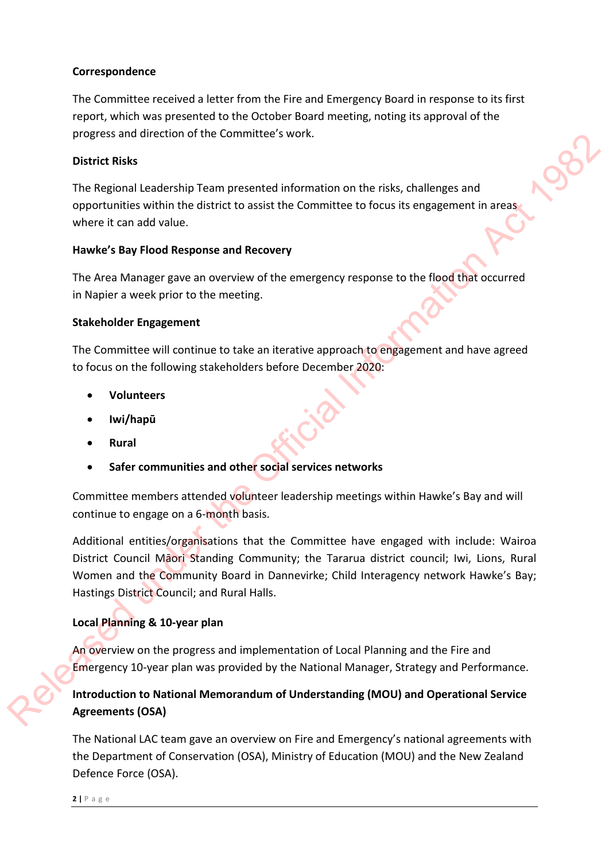### **Correspondence**

The Committee received a letter from the Fire and Emergency Board in response to its first report, which was presented to the October Board meeting, noting its approval of the progress and direction of the Committee's work.

### **District Risks**

The Regional Leadership Team presented information on the risks, challenges and opportunities within the district to assist the Committee to focus its engagement in areas where it can add value.

#### **Hawke's Bay Flood Response and Recovery**

The Area Manager gave an overview of the emergency response to the flood that occurred in Napier a week prior to the meeting.

### **Stakeholder Engagement**

The Committee will continue to take an iterative approach to engagement and have agreed to focus on the following stakeholders before December 2020:

- **Volunteers**
- **Iwi/hapū**
- **Rural**
- **Safer communities and other social services networks**

Committee members attended volunteer leadership meetings within Hawke's Bay and will continue to engage on a 6-month basis.

Additional entities/organisations that the Committee have engaged with include: Wairoa District Council Māori Standing Community; the Tararua district council; Iwi, Lions, Rural Women and the Community Board in Dannevirke; Child Interagency network Hawke's Bay; Hastings District Council; and Rural Halls. For the state and the Communication of the National Removement is a state of the Communication of the Communication of the Communication of the Official Information and popertunities within the Columbic State of the Commun

# **Local Planning & 10-year plan**

An overview on the progress and implementation of Local Planning and the Fire and Emergency 10-year plan was provided by the National Manager, Strategy and Performance.

# **Introduction to National Memorandum of Understanding (MOU) and Operational Service Agreements (OSA)**

The National LAC team gave an overview on Fire and Emergency's national agreements with the Department of Conservation (OSA), Ministry of Education (MOU) and the New Zealand Defence Force (OSA).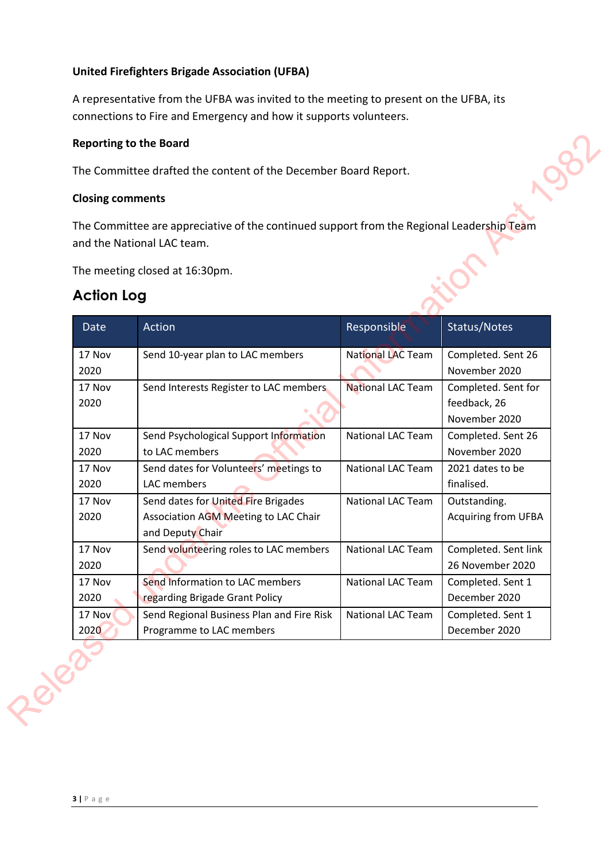# **United Firefighters Brigade Association (UFBA)**

A representative from the UFBA was invited to the meeting to present on the UFBA, its connections to Fire and Emergency and how it supports volunteers.

#### **Reporting to the Board**

### **Closing comments**

# **Action Log**

|                   | The Committee are appreciative of the continued support from the Regional Leadership Team<br>and the National LAC team. |                          |                                                      |
|-------------------|-------------------------------------------------------------------------------------------------------------------------|--------------------------|------------------------------------------------------|
| <b>Action Log</b> | The meeting closed at 16:30pm.                                                                                          |                          |                                                      |
| Date              | Action                                                                                                                  | Responsible              | Status/Notes                                         |
| 17 Nov<br>2020    | Send 10-year plan to LAC members                                                                                        | <b>National LAC Team</b> | Completed. Sent 26<br>November 2020                  |
| 17 Nov<br>2020    | Send Interests Register to LAC members                                                                                  | <b>National LAC Team</b> | Completed. Sent for<br>feedback, 26<br>November 2020 |
| 17 Nov<br>2020    | Send Psychological Support Information<br>to LAC members                                                                | <b>National LAC Team</b> | Completed. Sent 26<br>November 2020                  |
| 17 Nov<br>2020    | Send dates for Volunteers' meetings to<br>LAC members                                                                   | <b>National LAC Team</b> | 2021 dates to be<br>finalised.                       |
| 17 Nov<br>2020    | Send dates for United Fire Brigades<br>Association AGM Meeting to LAC Chair<br>and Deputy Chair                         | National LAC Team        | Outstanding.<br><b>Acquiring from UFBA</b>           |
| 17 Nov<br>2020    | Send volunteering roles to LAC members                                                                                  | <b>National LAC Team</b> | Completed. Sent link<br>26 November 2020             |
| 17 Nov<br>2020    | Send Information to LAC members<br>regarding Brigade Grant Policy                                                       | <b>National LAC Team</b> | Completed. Sent 1<br>December 2020                   |
| 17 Nov<br>2020    | Send Regional Business Plan and Fire Risk<br>Programme to LAC members                                                   | National LAC Team        | Completed. Sent 1<br>December 2020                   |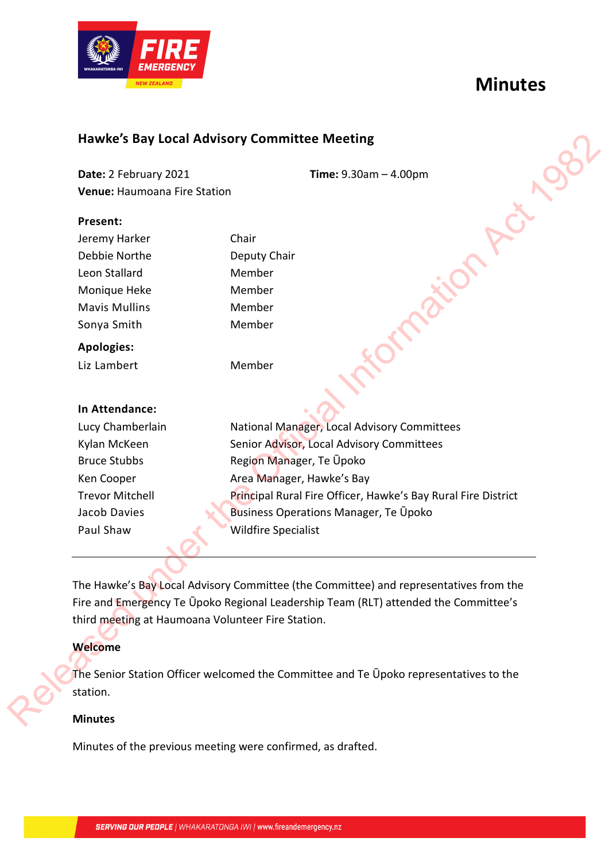



# **Hawke's Bay Local Advisory Committee Meeting**

**Date:** 2 February 2021 **Time:** 9.30am – 4.00pm **Venue:** Haumoana Fire Station

#### **Present:**

| Jeremy Harker        |  |
|----------------------|--|
| Debbie Northe        |  |
| Leon Stallard        |  |
| Monique Heke         |  |
| <b>Mavis Mullins</b> |  |
| Sonya Smith          |  |
|                      |  |

# **Apologies:**

Liz Lambert Member

# Chair Deputy Chair Member Member Member Member

### **In Attendance:**

Lucy Chamberlain Kylan McKeen Bruce Stubbs Ken Cooper Trevor Mitchell Jacob Davies Paul Shaw

National Manager, Local Advisory Committees Senior Advisor, Local Advisory Committees Region Manager, Te Ūpoko Area Manager, Hawke's Bay Principal Rural Fire Officer, Hawke's Bay Rural Fire District Business Operations Manager, Te Ūpoko Wildfire Specialist Hawke's Bay Local Advisory Committee Meeting<br>
Date: 2 Fabruary 2021<br>
Venue: Haumouns Fire Station<br>
Venue: Haumouns Fire Station<br>
Preserv Horker<br>
Debth Power Chair<br>
Debth Power Station<br>
Under Mondule Member<br>
Mondule Hecker

The Hawke's Bay Local Advisory Committee (the Committee) and representatives from the Fire and Emergency Te Ūpoko Regional Leadership Team (RLT) attended the Committee's third meeting at Haumoana Volunteer Fire Station.

# **Welcome**

The Senior Station Officer welcomed the Committee and Te Ūpoko representatives to the station.

# **Minutes**

Minutes of the previous meeting were confirmed, as drafted.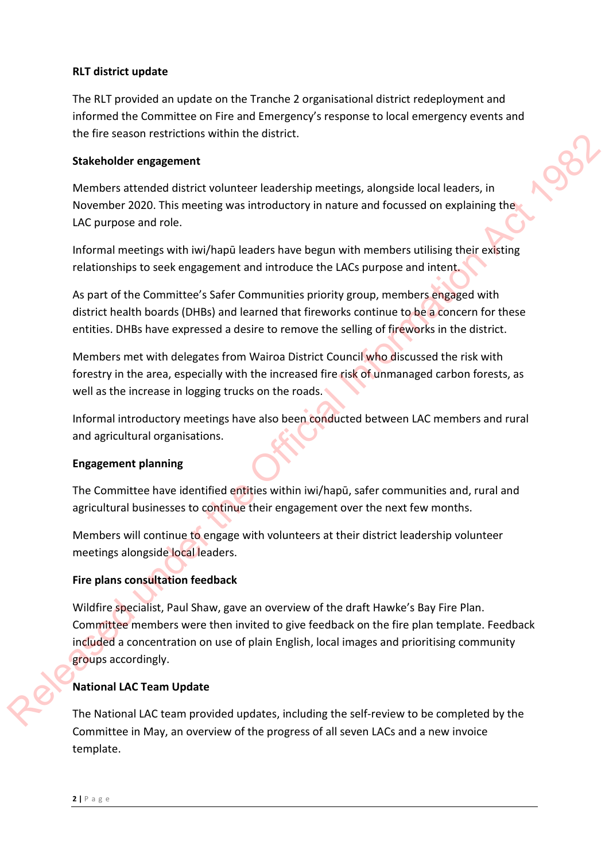### **RLT district update**

The RLT provided an update on the Tranche 2 organisational district redeployment and informed the Committee on Fire and Emergency's response to local emergency events and the fire season restrictions within the district.

#### **Stakeholder engagement**

Members attended district volunteer leadership meetings, alongside local leaders, in November 2020. This meeting was introductory in nature and focussed on explaining the LAC purpose and role.

Informal meetings with iwi/hapū leaders have begun with members utilising their existing relationships to seek engagement and introduce the LACs purpose and intent.

As part of the Committee's Safer Communities priority group, members engaged with district health boards (DHBs) and learned that fireworks continue to be a concern for these entities. DHBs have expressed a desire to remove the selling of fireworks in the district.

Members met with delegates from Wairoa District Council who discussed the risk with forestry in the area, especially with the increased fire risk of unmanaged carbon forests, as well as the increase in logging trucks on the roads.

Informal introductory meetings have also been conducted between LAC members and rural and agricultural organisations.

#### **Engagement planning**

The Committee have identified entities within iwi/hapū, safer communities and, rural and agricultural businesses to continue their engagement over the next few months.

Members will continue to engage with volunteers at their district leadership volunteer meetings alongside local leaders.

# **Fire plans consultation feedback**

Wildfire specialist, Paul Shaw, gave an overview of the draft Hawke's Bay Fire Plan. Committee members were then invited to give feedback on the fire plan template. Feedback included a concentration on use of plain English, local images and prioritising community groups accordingly. Internal consultant of the Official Internal Consultant Consultant Consultant Consultant Consultant COC This internal metaling, alongside local leaders, in<br>
Nembers attended district volume was introductory in nature and

# **National LAC Team Update**

The National LAC team provided updates, including the self-review to be completed by the Committee in May, an overview of the progress of all seven LACs and a new invoice template.